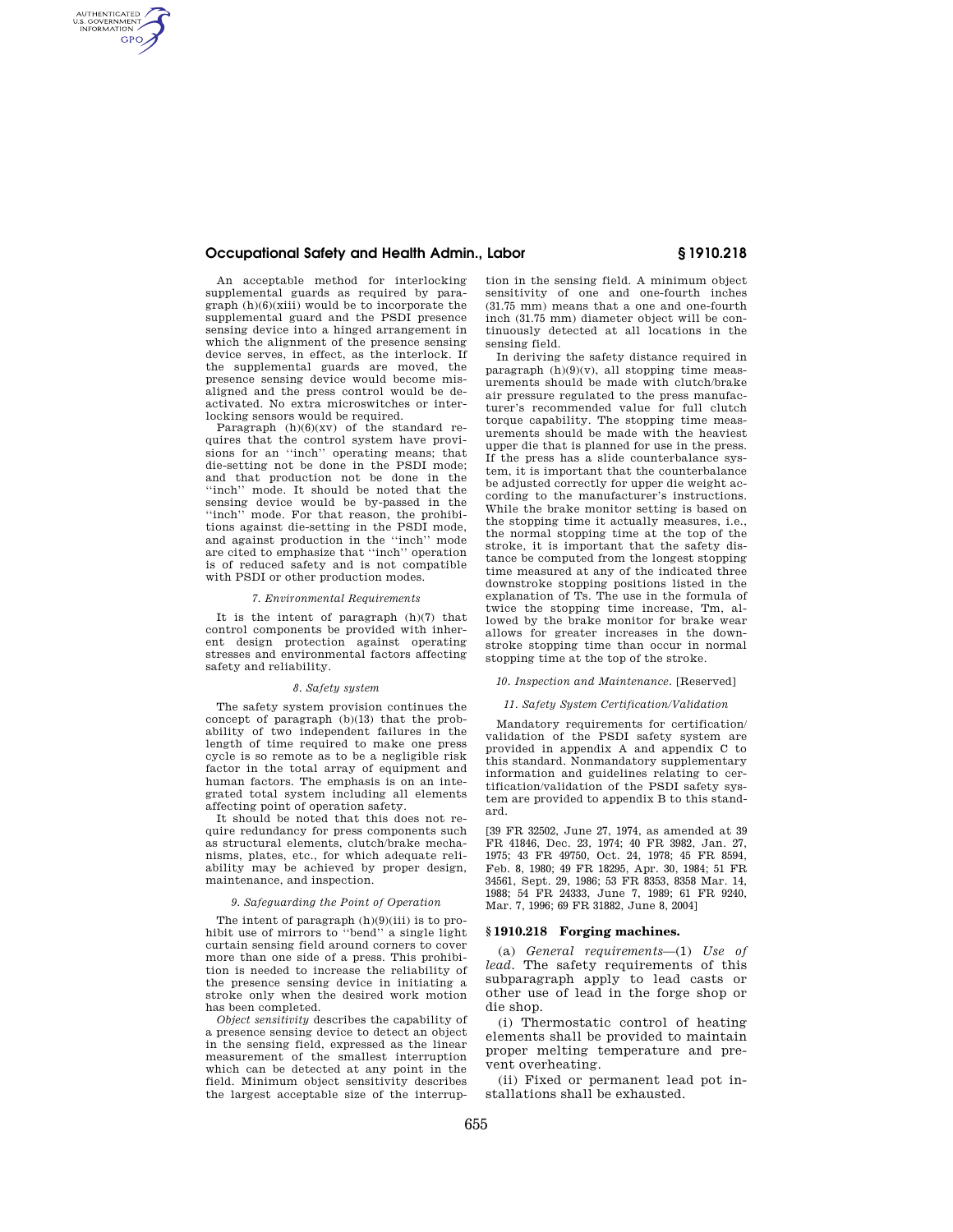# **Occupational Safety and Health Admin., Labor § 1910.218**

An acceptable method for interlocking supplemental guards as required by paragraph (h)(6)(xiii) would be to incorporate the supplemental guard and the PSDI presence sensing device into a hinged arrangement in which the alignment of the presence sensing device serves, in effect, as the interlock. If the supplemental guards are moved, the presence sensing device would become misaligned and the press control would be deactivated. No extra microswitches or interlocking sensors would be required.

AUTHENTICATED<br>U.S. GOVERNMENT<br>INFORMATION **GPO** 

> Paragraph  $(h)(6)(xy)$  of the standard requires that the control system have provisions for an ''inch'' operating means; that die-setting not be done in the PSDI mode; and that production not be done in the ''inch'' mode. It should be noted that the sensing device would be by-passed in the "inch" mode. For that reason, the prohibitions against die-setting in the PSDI mode, and against production in the ''inch'' mode are cited to emphasize that ''inch'' operation is of reduced safety and is not compatible with PSDI or other production modes.

#### *7. Environmental Requirements*

It is the intent of paragraph (h)(7) that control components be provided with inherent design protection against operating stresses and environmental factors affecting safety and reliability.

#### *8. Safety system*

The safety system provision continues the concept of paragraph (b)(13) that the probability of two independent failures in the length of time required to make one press cycle is so remote as to be a negligible risk factor in the total array of equipment and human factors. The emphasis is on an integrated total system including all elements affecting point of operation safety.

It should be noted that this does not require redundancy for press components such as structural elements, clutch/brake mechanisms, plates, etc., for which adequate reliability may be achieved by proper design, maintenance, and inspection.

#### *9. Safeguarding the Point of Operation*

The intent of paragraph  $(h)(9)(iii)$  is to prohibit use of mirrors to ''bend'' a single light curtain sensing field around corners to cover more than one side of a press. This prohibition is needed to increase the reliability of the presence sensing device in initiating a stroke only when the desired work motion has been completed.

*Object sensitivity* describes the capability of a presence sensing device to detect an object in the sensing field, expressed as the linear measurement of the smallest interruption which can be detected at any point in the field. Minimum object sensitivity describes the largest acceptable size of the interrup-

tion in the sensing field. A minimum object sensitivity of one and one-fourth inches (31.75 mm) means that a one and one-fourth inch (31.75 mm) diameter object will be continuously detected at all locations in the sensing field.

In deriving the safety distance required in paragraph  $(h)(9)(v)$ , all stopping time measurements should be made with clutch/brake air pressure regulated to the press manufacturer's recommended value for full clutch torque capability. The stopping time measurements should be made with the heaviest upper die that is planned for use in the press. If the press has a slide counterbalance system, it is important that the counterbalance be adjusted correctly for upper die weight according to the manufacturer's instructions. While the brake monitor setting is based on the stopping time it actually measures, i.e., the normal stopping time at the top of the stroke, it is important that the safety distance be computed from the longest stopping time measured at any of the indicated three downstroke stopping positions listed in the explanation of Ts. The use in the formula of twice the stopping time increase, Tm, allowed by the brake monitor for brake wear allows for greater increases in the downstroke stopping time than occur in normal stopping time at the top of the stroke.

### *10. Inspection and Maintenance.* [Reserved]

### *11. Safety System Certification/Validation*

Mandatory requirements for certification/ validation of the PSDI safety system are provided in appendix A and appendix C to this standard. Nonmandatory supplementary information and guidelines relating to certification/validation of the PSDI safety system are provided to appendix B to this standard.

[39 FR 32502, June 27, 1974, as amended at 39 FR 41846, Dec. 23, 1974; 40 FR 3982, Jan. 27, 1975; 43 FR 49750, Oct. 24, 1978; 45 FR 8594, Feb. 8, 1980; 49 FR 18295, Apr. 30, 1984; 51 FR 34561, Sept. 29, 1986; 53 FR 8353, 8358 Mar. 14, 1988; 54 FR 24333, June 7, 1989; 61 FR 9240, Mar. 7, 1996; 69 FR 31882, June 8, 2004]

## **§ 1910.218 Forging machines.**

(a) *General requirements*—(1) *Use of lead.* The safety requirements of this subparagraph apply to lead casts or other use of lead in the forge shop or die shop.

(i) Thermostatic control of heating elements shall be provided to maintain proper melting temperature and prevent overheating.

(ii) Fixed or permanent lead pot installations shall be exhausted.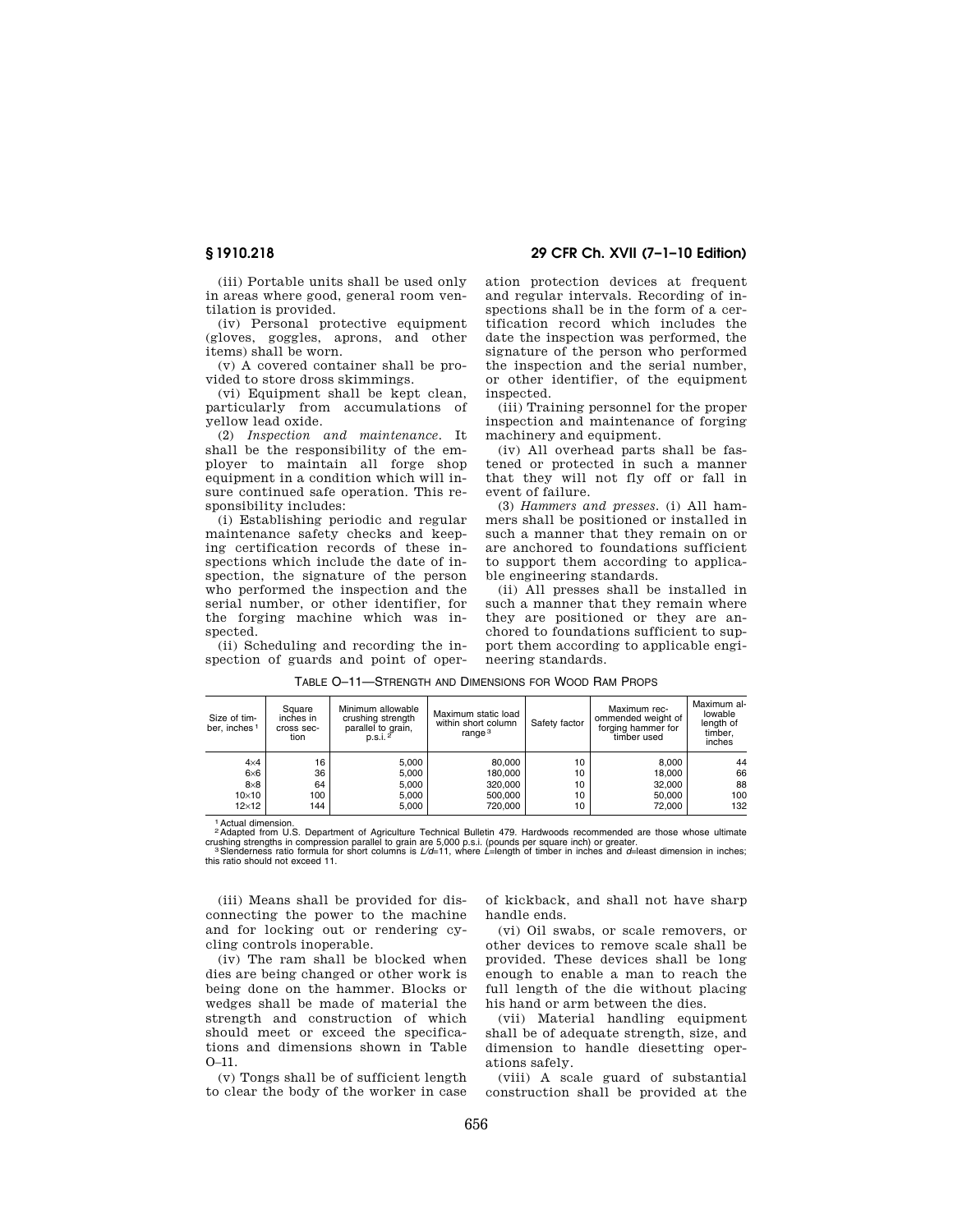# **§ 1910.218 29 CFR Ch. XVII (7–1–10 Edition)**

(iii) Portable units shall be used only in areas where good, general room ventilation is provided.

(iv) Personal protective equipment (gloves, goggles, aprons, and other items) shall be worn.

(v) A covered container shall be provided to store dross skimmings.

(vi) Equipment shall be kept clean, particularly from accumulations of yellow lead oxide.

(2) *Inspection and maintenance.* It shall be the responsibility of the employer to maintain all forge shop equipment in a condition which will insure continued safe operation. This responsibility includes:

(i) Establishing periodic and regular maintenance safety checks and keeping certification records of these inspections which include the date of inspection, the signature of the person who performed the inspection and the serial number, or other identifier, for the forging machine which was inspected.

(ii) Scheduling and recording the inspection of guards and point of oper-

|  |  |  |  |  |  | 29 CFR Ch. XVII (7-1-10 Edition) |
|--|--|--|--|--|--|----------------------------------|
|--|--|--|--|--|--|----------------------------------|

ation protection devices at frequent and regular intervals. Recording of inspections shall be in the form of a certification record which includes the date the inspection was performed, the signature of the person who performed the inspection and the serial number, or other identifier, of the equipment inspected.

(iii) Training personnel for the proper inspection and maintenance of forging machinery and equipment.

(iv) All overhead parts shall be fastened or protected in such a manner that they will not fly off or fall in event of failure.

(3) *Hammers and presses.* (i) All hammers shall be positioned or installed in such a manner that they remain on or are anchored to foundations sufficient to support them according to applicable engineering standards.

(ii) All presses shall be installed in such a manner that they remain where they are positioned or they are anchored to foundations sufficient to support them according to applicable engineering standards.

| Size of tim-<br>ber. inches <sup>1</sup> | Square<br>inches in<br>cross sec-<br>tion | Minimum allowable<br>crushing strength<br>parallel to grain,<br>$p.s.i.$ <sup>2</sup> | Maximum static load<br>within short column<br>range <sup>3</sup> | Safety factor | Maximum rec-<br>ommended weight of<br>forging hammer for<br>timber used | Maximum al-<br>lowable<br>length of<br>timber.<br>inches |
|------------------------------------------|-------------------------------------------|---------------------------------------------------------------------------------------|------------------------------------------------------------------|---------------|-------------------------------------------------------------------------|----------------------------------------------------------|
| $4\times4$                               | 16                                        | 5,000                                                                                 | 80,000                                                           | 10            | 8.000                                                                   | 44                                                       |
| $6\times 6$                              | 36                                        | 5,000                                                                                 | 180.000                                                          | 10            | 18,000                                                                  | 66                                                       |
| $8\times8$                               | 64                                        | 5,000                                                                                 | 320,000                                                          | 10            | 32,000                                                                  | 88                                                       |
| $10\times10$                             | 100                                       | 5,000                                                                                 | 500.000                                                          | 10            | 50.000                                                                  | 100                                                      |
| $12\times12$                             | 144                                       | 5.000                                                                                 | 720.000                                                          | 10            | 72.000                                                                  | 132                                                      |
|                                          |                                           |                                                                                       |                                                                  |               |                                                                         |                                                          |

TABLE O–11—STRENGTH AND DIMENSIONS FOR WOOD RAM PROPS

<sup>1</sup> Actual dimension.<br><sup>2</sup> Adapted from U.S. Department of Agriculture Technical Bulletin 479. Hardwoods recommended are those whose ultimate<br>crushing strengths in compression parallel to grain are 5,000 p.s.i. (pounds per this ratio should not exceed 11.

(iii) Means shall be provided for disconnecting the power to the machine and for locking out or rendering cycling controls inoperable.

(iv) The ram shall be blocked when dies are being changed or other work is being done on the hammer. Blocks or wedges shall be made of material the strength and construction of which should meet or exceed the specifications and dimensions shown in Table  $O-11$ .

(v) Tongs shall be of sufficient length to clear the body of the worker in case of kickback, and shall not have sharp handle ends.

(vi) Oil swabs, or scale removers, or other devices to remove scale shall be provided. These devices shall be long enough to enable a man to reach the full length of the die without placing his hand or arm between the dies.

(vii) Material handling equipment shall be of adequate strength, size, and dimension to handle diesetting operations safely.

(viii) A scale guard of substantial construction shall be provided at the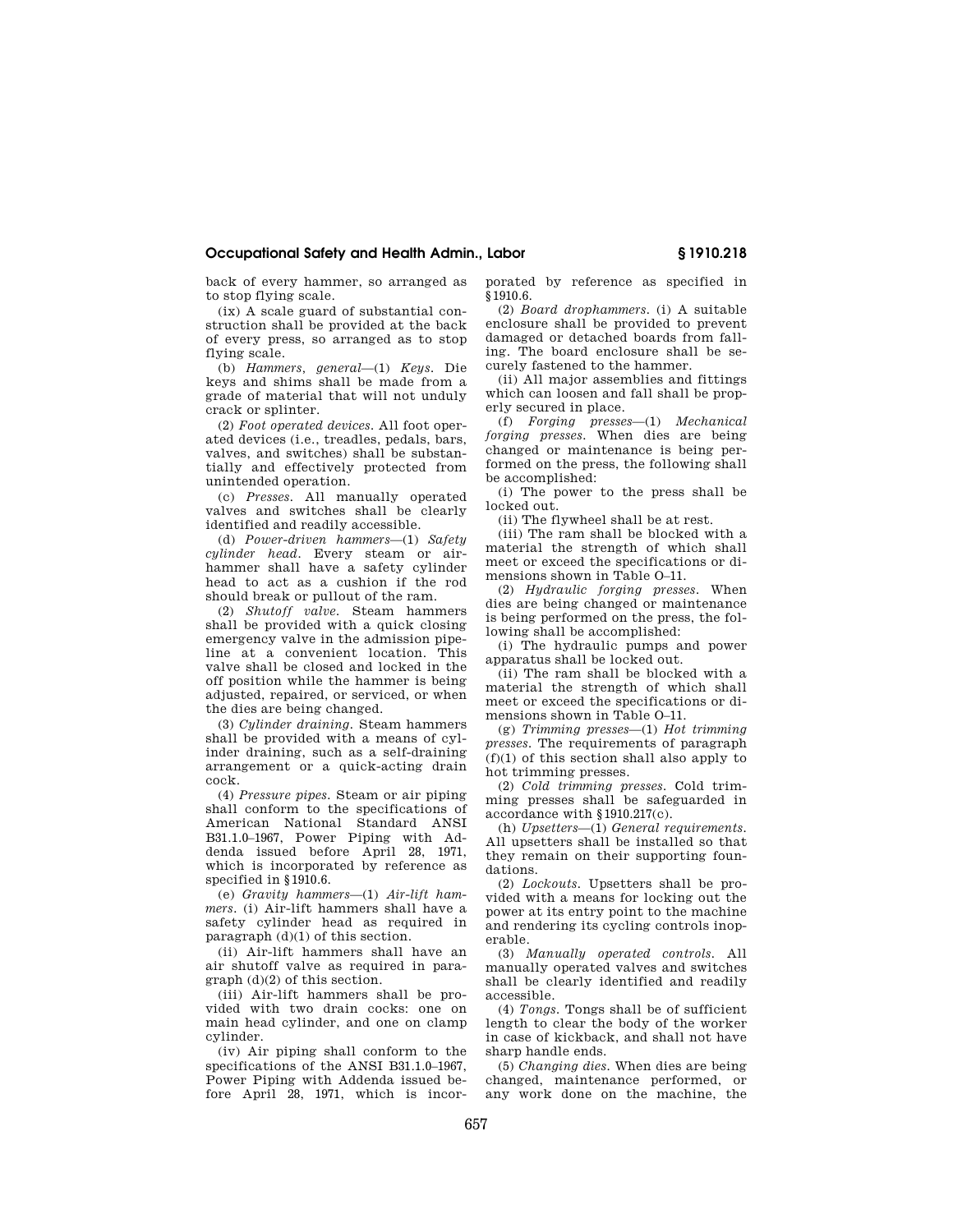# **Occupational Safety and Health Admin., Labor § 1910.218**

back of every hammer, so arranged as to stop flying scale.

(ix) A scale guard of substantial construction shall be provided at the back of every press, so arranged as to stop flying scale.

(b) *Hammers, general*—(1) *Keys.* Die keys and shims shall be made from a grade of material that will not unduly crack or splinter.

(2) *Foot operated devices.* All foot operated devices (i.e., treadles, pedals, bars, valves, and switches) shall be substantially and effectively protected from unintended operation.

(c) *Presses.* All manually operated valves and switches shall be clearly identified and readily accessible.

(d) *Power-driven hammers*—(1) *Safety cylinder head.* Every steam or airhammer shall have a safety cylinder head to act as a cushion if the rod should break or pullout of the ram.

(2) *Shutoff valve.* Steam hammers shall be provided with a quick closing emergency valve in the admission pipeline at a convenient location. This valve shall be closed and locked in the off position while the hammer is being adjusted, repaired, or serviced, or when the dies are being changed.

(3) *Cylinder draining.* Steam hammers shall be provided with a means of cylinder draining, such as a self-draining arrangement or a quick-acting drain cock.

(4) *Pressure pipes.* Steam or air piping shall conform to the specifications of American National Standard ANSI B31.1.0–1967, Power Piping with Addenda issued before April 28, 1971, which is incorporated by reference as specified in §1910.6.

(e) *Gravity hammers*—(1) *Air-lift hammers.* (i) Air-lift hammers shall have a safety cylinder head as required in paragraph (d)(1) of this section.

(ii) Air-lift hammers shall have an air shutoff valve as required in paragraph (d)(2) of this section.

(iii) Air-lift hammers shall be provided with two drain cocks: one on main head cylinder, and one on clamp cylinder.

(iv) Air piping shall conform to the specifications of the ANSI B31.1.0–1967, Power Piping with Addenda issued before April 28, 1971, which is incorporated by reference as specified in §1910.6.

(2) *Board drophammers.* (i) A suitable enclosure shall be provided to prevent damaged or detached boards from falling. The board enclosure shall be securely fastened to the hammer.

(ii) All major assemblies and fittings which can loosen and fall shall be properly secured in place.

(f) *Forging presses*—(1) *Mechanical forging presses.* When dies are being changed or maintenance is being performed on the press, the following shall be accomplished:

(i) The power to the press shall be locked out.

(ii) The flywheel shall be at rest.

(iii) The ram shall be blocked with a material the strength of which shall meet or exceed the specifications or dimensions shown in Table O–11.

(2) *Hydraulic forging presses.* When dies are being changed or maintenance is being performed on the press, the following shall be accomplished:

(i) The hydraulic pumps and power apparatus shall be locked out.

(ii) The ram shall be blocked with a material the strength of which shall meet or exceed the specifications or dimensions shown in Table O–11.

(g) *Trimming presses*—(1) *Hot trimming presses.* The requirements of paragraph  $(f)(1)$  of this section shall also apply to hot trimming presses.

(2) *Cold trimming presses.* Cold trimming presses shall be safeguarded in accordance with §1910.217(c).

(h) *Upsetters*—(1) *General requirements.*  All upsetters shall be installed so that they remain on their supporting foundations.

(2) *Lockouts.* Upsetters shall be provided with a means for locking out the power at its entry point to the machine and rendering its cycling controls inoperable.

(3) *Manually operated controls.* All manually operated valves and switches shall be clearly identified and readily accessible.

(4) *Tongs.* Tongs shall be of sufficient length to clear the body of the worker in case of kickback, and shall not have sharp handle ends.

(5) *Changing dies.* When dies are being changed, maintenance performed, or any work done on the machine, the